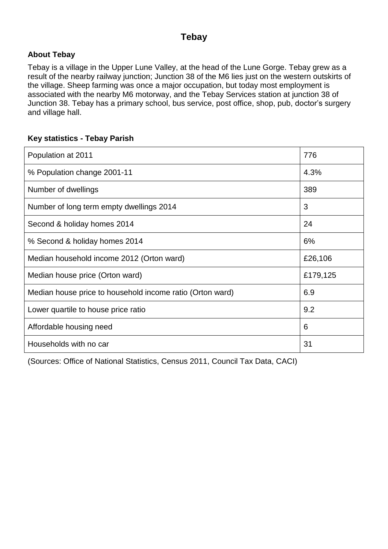#### **Tebay**

#### **About Tebay**

Tebay is a village in the Upper Lune Valley, at the head of the Lune Gorge. Tebay grew as a result of the nearby railway junction; Junction 38 of the M6 lies just on the western outskirts of the village. Sheep farming was once a major occupation, but today most employment is associated with the nearby M6 motorway, and the Tebay Services station at junction 38 of Junction 38. Tebay has a primary school, bus service, post office, shop, pub, doctor's surgery and village hall.

#### **Key statistics - Tebay Parish**

| Population at 2011                                        | 776      |
|-----------------------------------------------------------|----------|
| % Population change 2001-11                               | 4.3%     |
| Number of dwellings                                       | 389      |
| Number of long term empty dwellings 2014                  | 3        |
| Second & holiday homes 2014                               | 24       |
| % Second & holiday homes 2014                             | 6%       |
| Median household income 2012 (Orton ward)                 | £26,106  |
| Median house price (Orton ward)                           | £179,125 |
| Median house price to household income ratio (Orton ward) | 6.9      |
| Lower quartile to house price ratio                       | 9.2      |
| Affordable housing need                                   | 6        |
| Households with no car                                    | 31       |

(Sources: Office of National Statistics, Census 2011, Council Tax Data, CACI)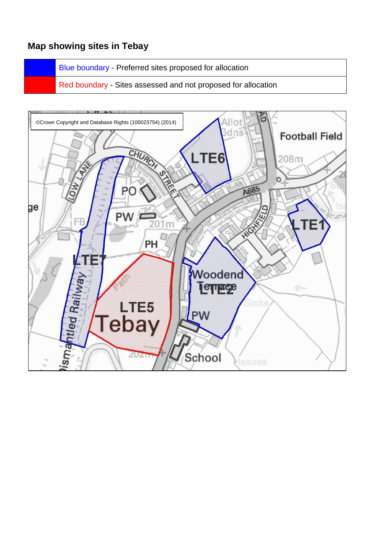#### **Map showing sites in Tebay**

Blue boundary - Preferred sites proposed for allocation

Red boundary - Sites assessed and not proposed for allocation

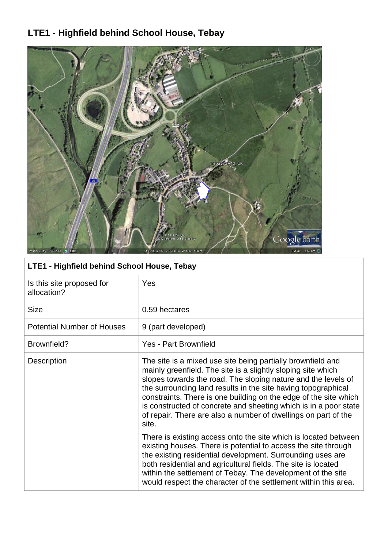# **LTE1 - Highfield behind School House, Tebay**



### **LTE1 - Highfield behind School House, Tebay**

| Is this site proposed for<br>allocation? | <b>Yes</b>                                                                                                                                                                                                                                                                                                                                                                                                                                                                       |
|------------------------------------------|----------------------------------------------------------------------------------------------------------------------------------------------------------------------------------------------------------------------------------------------------------------------------------------------------------------------------------------------------------------------------------------------------------------------------------------------------------------------------------|
| <b>Size</b>                              | 0.59 hectares                                                                                                                                                                                                                                                                                                                                                                                                                                                                    |
| <b>Potential Number of Houses</b>        | 9 (part developed)                                                                                                                                                                                                                                                                                                                                                                                                                                                               |
| Brownfield?                              | <b>Yes - Part Brownfield</b>                                                                                                                                                                                                                                                                                                                                                                                                                                                     |
| Description                              | The site is a mixed use site being partially brownfield and<br>mainly greenfield. The site is a slightly sloping site which<br>slopes towards the road. The sloping nature and the levels of<br>the surrounding land results in the site having topographical<br>constraints. There is one building on the edge of the site which<br>is constructed of concrete and sheeting which is in a poor state<br>of repair. There are also a number of dwellings on part of the<br>site. |
|                                          | There is existing access onto the site which is located between<br>existing houses. There is potential to access the site through<br>the existing residential development. Surrounding uses are<br>both residential and agricultural fields. The site is located<br>within the settlement of Tebay. The development of the site<br>would respect the character of the settlement within this area.                                                                               |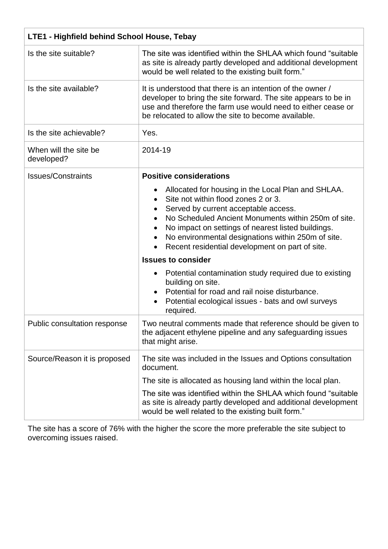| LTE1 - Highfield behind School House, Tebay |                                                                                                                                                                                                                                                                                                                                                                      |
|---------------------------------------------|----------------------------------------------------------------------------------------------------------------------------------------------------------------------------------------------------------------------------------------------------------------------------------------------------------------------------------------------------------------------|
| Is the site suitable?                       | The site was identified within the SHLAA which found "suitable"<br>as site is already partly developed and additional development<br>would be well related to the existing built form."                                                                                                                                                                              |
| Is the site available?                      | It is understood that there is an intention of the owner /<br>developer to bring the site forward. The site appears to be in<br>use and therefore the farm use would need to either cease or<br>be relocated to allow the site to become available.                                                                                                                  |
| Is the site achievable?                     | Yes.                                                                                                                                                                                                                                                                                                                                                                 |
| When will the site be<br>developed?         | 2014-19                                                                                                                                                                                                                                                                                                                                                              |
| <b>Issues/Constraints</b>                   | <b>Positive considerations</b>                                                                                                                                                                                                                                                                                                                                       |
|                                             | Allocated for housing in the Local Plan and SHLAA.<br>Site not within flood zones 2 or 3.<br>Served by current acceptable access.<br>No Scheduled Ancient Monuments within 250m of site.<br>No impact on settings of nearest listed buildings.<br>No environmental designations within 250m of site.<br>$\bullet$<br>Recent residential development on part of site. |
|                                             | <b>Issues to consider</b>                                                                                                                                                                                                                                                                                                                                            |
|                                             | Potential contamination study required due to existing<br>building on site.<br>Potential for road and rail noise disturbance.<br>Potential ecological issues - bats and owl surveys<br>required.                                                                                                                                                                     |
| Public consultation response                | Two neutral comments made that reference should be given to<br>the adjacent ethylene pipeline and any safeguarding issues<br>that might arise.                                                                                                                                                                                                                       |
| Source/Reason it is proposed                | The site was included in the Issues and Options consultation<br>document.                                                                                                                                                                                                                                                                                            |
|                                             | The site is allocated as housing land within the local plan.                                                                                                                                                                                                                                                                                                         |
|                                             | The site was identified within the SHLAA which found "suitable"<br>as site is already partly developed and additional development<br>would be well related to the existing built form."                                                                                                                                                                              |

The site has a score of 76% with the higher the score the more preferable the site subject to overcoming issues raised.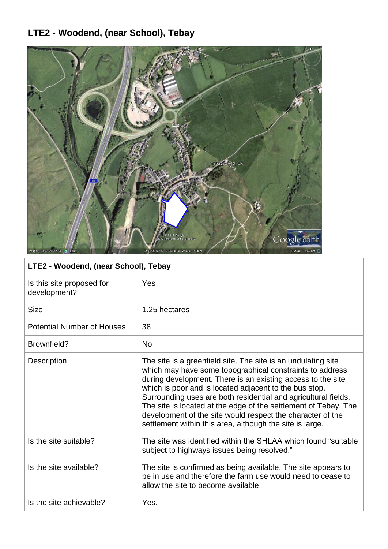# **LTE2 - Woodend, (near School), Tebay**



### **LTE2 - Woodend, (near School), Tebay**

| Is this site proposed for<br>development? | Yes                                                                                                                                                                                                                                                                                                                                                                                                                                                                                                               |
|-------------------------------------------|-------------------------------------------------------------------------------------------------------------------------------------------------------------------------------------------------------------------------------------------------------------------------------------------------------------------------------------------------------------------------------------------------------------------------------------------------------------------------------------------------------------------|
| <b>Size</b>                               | 1.25 hectares                                                                                                                                                                                                                                                                                                                                                                                                                                                                                                     |
| <b>Potential Number of Houses</b>         | 38                                                                                                                                                                                                                                                                                                                                                                                                                                                                                                                |
| Brownfield?                               | <b>No</b>                                                                                                                                                                                                                                                                                                                                                                                                                                                                                                         |
| <b>Description</b>                        | The site is a greenfield site. The site is an undulating site<br>which may have some topographical constraints to address<br>during development. There is an existing access to the site<br>which is poor and is located adjacent to the bus stop.<br>Surrounding uses are both residential and agricultural fields.<br>The site is located at the edge of the settlement of Tebay. The<br>development of the site would respect the character of the<br>settlement within this area, although the site is large. |
| Is the site suitable?                     | The site was identified within the SHLAA which found "suitable"<br>subject to highways issues being resolved."                                                                                                                                                                                                                                                                                                                                                                                                    |
| Is the site available?                    | The site is confirmed as being available. The site appears to<br>be in use and therefore the farm use would need to cease to<br>allow the site to become available.                                                                                                                                                                                                                                                                                                                                               |
| Is the site achievable?                   | Yes.                                                                                                                                                                                                                                                                                                                                                                                                                                                                                                              |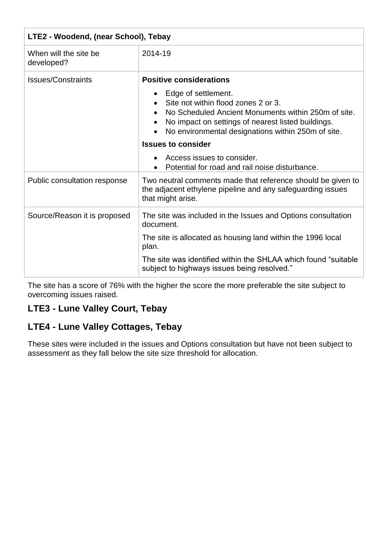| LTE2 - Woodend, (near School), Tebay |                                                                                                                                                                                                                                                                                                                            |
|--------------------------------------|----------------------------------------------------------------------------------------------------------------------------------------------------------------------------------------------------------------------------------------------------------------------------------------------------------------------------|
| When will the site be<br>developed?  | 2014-19                                                                                                                                                                                                                                                                                                                    |
| <b>Issues/Constraints</b>            | <b>Positive considerations</b><br>Edge of settlement.<br>Site not within flood zones 2 or 3.<br>No Scheduled Ancient Monuments within 250m of site.<br>No impact on settings of nearest listed buildings.<br>No environmental designations within 250m of site.<br><b>Issues to consider</b><br>Access issues to consider. |
| Public consultation response         | Potential for road and rail noise disturbance.<br>Two neutral comments made that reference should be given to<br>the adjacent ethylene pipeline and any safeguarding issues<br>that might arise.                                                                                                                           |
| Source/Reason it is proposed         | The site was included in the Issues and Options consultation<br>document.<br>The site is allocated as housing land within the 1996 local<br>plan.<br>The site was identified within the SHLAA which found "suitable"<br>subject to highways issues being resolved."                                                        |

The site has a score of 76% with the higher the score the more preferable the site subject to overcoming issues raised.

### **LTE3 - Lune Valley Court, Tebay**

#### **LTE4 - Lune Valley Cottages, Tebay**

These sites were included in the issues and Options consultation but have not been subject to assessment as they fall below the site size threshold for allocation.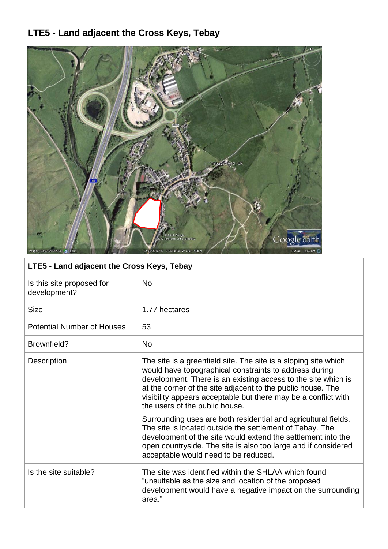# **LTE5 - Land adjacent the Cross Keys, Tebay**



### **LTE5 - Land adjacent the Cross Keys, Tebay**

| Is this site proposed for<br>development? | <b>No</b>                                                                                                                                                                                                                                                                                                                                                     |
|-------------------------------------------|---------------------------------------------------------------------------------------------------------------------------------------------------------------------------------------------------------------------------------------------------------------------------------------------------------------------------------------------------------------|
| <b>Size</b>                               | 1.77 hectares                                                                                                                                                                                                                                                                                                                                                 |
| <b>Potential Number of Houses</b>         | 53                                                                                                                                                                                                                                                                                                                                                            |
| Brownfield?                               | <b>No</b>                                                                                                                                                                                                                                                                                                                                                     |
| Description                               | The site is a greenfield site. The site is a sloping site which<br>would have topographical constraints to address during<br>development. There is an existing access to the site which is<br>at the corner of the site adjacent to the public house. The<br>visibility appears acceptable but there may be a conflict with<br>the users of the public house. |
|                                           | Surrounding uses are both residential and agricultural fields.<br>The site is located outside the settlement of Tebay. The<br>development of the site would extend the settlement into the<br>open countryside. The site is also too large and if considered<br>acceptable would need to be reduced.                                                          |
| Is the site suitable?                     | The site was identified within the SHLAA which found<br>"unsuitable as the size and location of the proposed<br>development would have a negative impact on the surrounding<br>area."                                                                                                                                                                         |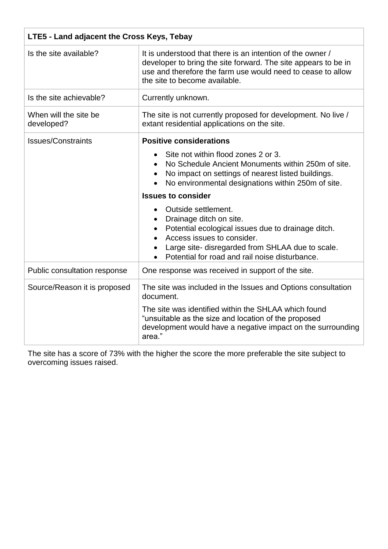| LTE5 - Land adjacent the Cross Keys, Tebay |                                                                                                                                                                                                                                                                                                                                                                                                                                                                                                                 |
|--------------------------------------------|-----------------------------------------------------------------------------------------------------------------------------------------------------------------------------------------------------------------------------------------------------------------------------------------------------------------------------------------------------------------------------------------------------------------------------------------------------------------------------------------------------------------|
| Is the site available?                     | It is understood that there is an intention of the owner /<br>developer to bring the site forward. The site appears to be in<br>use and therefore the farm use would need to cease to allow<br>the site to become available.                                                                                                                                                                                                                                                                                    |
| Is the site achievable?                    | Currently unknown.                                                                                                                                                                                                                                                                                                                                                                                                                                                                                              |
| When will the site be<br>developed?        | The site is not currently proposed for development. No live /<br>extant residential applications on the site.                                                                                                                                                                                                                                                                                                                                                                                                   |
| <b>Issues/Constraints</b>                  | <b>Positive considerations</b><br>Site not within flood zones 2 or 3.<br>No Schedule Ancient Monuments within 250m of site.<br>No impact on settings of nearest listed buildings.<br>No environmental designations within 250m of site.<br><b>Issues to consider</b><br>Outside settlement.<br>Drainage ditch on site.<br>Potential ecological issues due to drainage ditch.<br>Access issues to consider.<br>Large site-disregarded from SHLAA due to scale.<br>Potential for road and rail noise disturbance. |
| Public consultation response               | One response was received in support of the site.                                                                                                                                                                                                                                                                                                                                                                                                                                                               |
| Source/Reason it is proposed               | The site was included in the Issues and Options consultation<br>document.<br>The site was identified within the SHLAA which found<br>"unsuitable as the size and location of the proposed<br>development would have a negative impact on the surrounding<br>area."                                                                                                                                                                                                                                              |

The site has a score of 73% with the higher the score the more preferable the site subject to overcoming issues raised.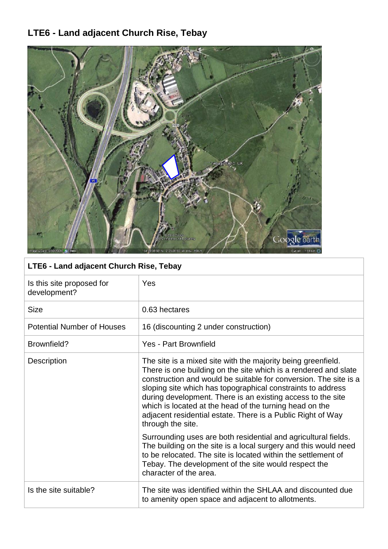# **LTE6 - Land adjacent Church Rise, Tebay**



### **LTE6 - Land adjacent Church Rise, Tebay**

| Is this site proposed for<br>development? | Yes                                                                                                                                                                                                                                                                                                                                                                                                                                                                              |
|-------------------------------------------|----------------------------------------------------------------------------------------------------------------------------------------------------------------------------------------------------------------------------------------------------------------------------------------------------------------------------------------------------------------------------------------------------------------------------------------------------------------------------------|
| <b>Size</b>                               | 0.63 hectares                                                                                                                                                                                                                                                                                                                                                                                                                                                                    |
| <b>Potential Number of Houses</b>         | 16 (discounting 2 under construction)                                                                                                                                                                                                                                                                                                                                                                                                                                            |
| Brownfield?                               | Yes - Part Brownfield                                                                                                                                                                                                                                                                                                                                                                                                                                                            |
| Description                               | The site is a mixed site with the majority being greenfield.<br>There is one building on the site which is a rendered and slate<br>construction and would be suitable for conversion. The site is a<br>sloping site which has topographical constraints to address<br>during development. There is an existing access to the site<br>which is located at the head of the turning head on the<br>adjacent residential estate. There is a Public Right of Way<br>through the site. |
|                                           | Surrounding uses are both residential and agricultural fields.<br>The building on the site is a local surgery and this would need<br>to be relocated. The site is located within the settlement of<br>Tebay. The development of the site would respect the<br>character of the area.                                                                                                                                                                                             |
| Is the site suitable?                     | The site was identified within the SHLAA and discounted due<br>to amenity open space and adjacent to allotments.                                                                                                                                                                                                                                                                                                                                                                 |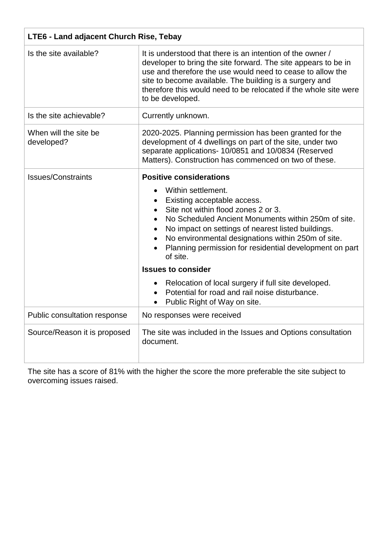| LTE6 - Land adjacent Church Rise, Tebay |                                                                                                                                                                                                                                                                                                                                                                                                   |
|-----------------------------------------|---------------------------------------------------------------------------------------------------------------------------------------------------------------------------------------------------------------------------------------------------------------------------------------------------------------------------------------------------------------------------------------------------|
| Is the site available?                  | It is understood that there is an intention of the owner /<br>developer to bring the site forward. The site appears to be in<br>use and therefore the use would need to cease to allow the<br>site to become available. The building is a surgery and<br>therefore this would need to be relocated if the whole site were<br>to be developed.                                                     |
| Is the site achievable?                 | Currently unknown.                                                                                                                                                                                                                                                                                                                                                                                |
| When will the site be<br>developed?     | 2020-2025. Planning permission has been granted for the<br>development of 4 dwellings on part of the site, under two<br>separate applications- 10/0851 and 10/0834 (Reserved<br>Matters). Construction has commenced on two of these.                                                                                                                                                             |
| <b>Issues/Constraints</b>               | <b>Positive considerations</b><br>Within settlement.<br>Existing acceptable access.<br>Site not within flood zones 2 or 3.<br>No Scheduled Ancient Monuments within 250m of site.<br>No impact on settings of nearest listed buildings.<br>No environmental designations within 250m of site.<br>Planning permission for residential development on part<br>of site.<br><b>Issues to consider</b> |
|                                         | Relocation of local surgery if full site developed.<br>Potential for road and rail noise disturbance.<br>Public Right of Way on site.                                                                                                                                                                                                                                                             |
| Public consultation response            | No responses were received                                                                                                                                                                                                                                                                                                                                                                        |
| Source/Reason it is proposed            | The site was included in the Issues and Options consultation<br>document.                                                                                                                                                                                                                                                                                                                         |

The site has a score of 81% with the higher the score the more preferable the site subject to overcoming issues raised.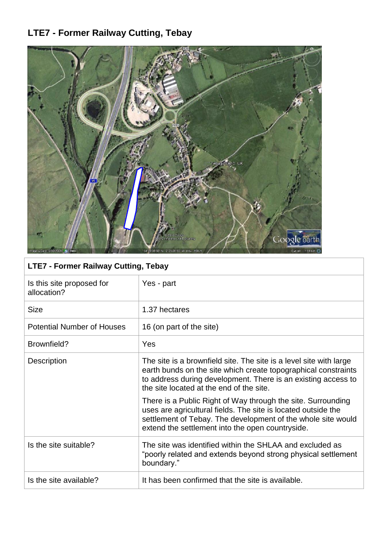# **LTE7 - Former Railway Cutting, Tebay**



### **LTE7 - Former Railway Cutting, Tebay**

| Is this site proposed for<br>allocation? | Yes - part                                                                                                                                                                                                                                        |
|------------------------------------------|---------------------------------------------------------------------------------------------------------------------------------------------------------------------------------------------------------------------------------------------------|
| <b>Size</b>                              | 1.37 hectares                                                                                                                                                                                                                                     |
| <b>Potential Number of Houses</b>        | 16 (on part of the site)                                                                                                                                                                                                                          |
| Brownfield?                              | Yes                                                                                                                                                                                                                                               |
| Description                              | The site is a brownfield site. The site is a level site with large<br>earth bunds on the site which create topographical constraints<br>to address during development. There is an existing access to<br>the site located at the end of the site. |
|                                          | There is a Public Right of Way through the site. Surrounding<br>uses are agricultural fields. The site is located outside the<br>settlement of Tebay. The development of the whole site would<br>extend the settlement into the open countryside. |
| Is the site suitable?                    | The site was identified within the SHLAA and excluded as<br>"poorly related and extends beyond strong physical settlement<br>boundary."                                                                                                           |
| Is the site available?                   | It has been confirmed that the site is available.                                                                                                                                                                                                 |